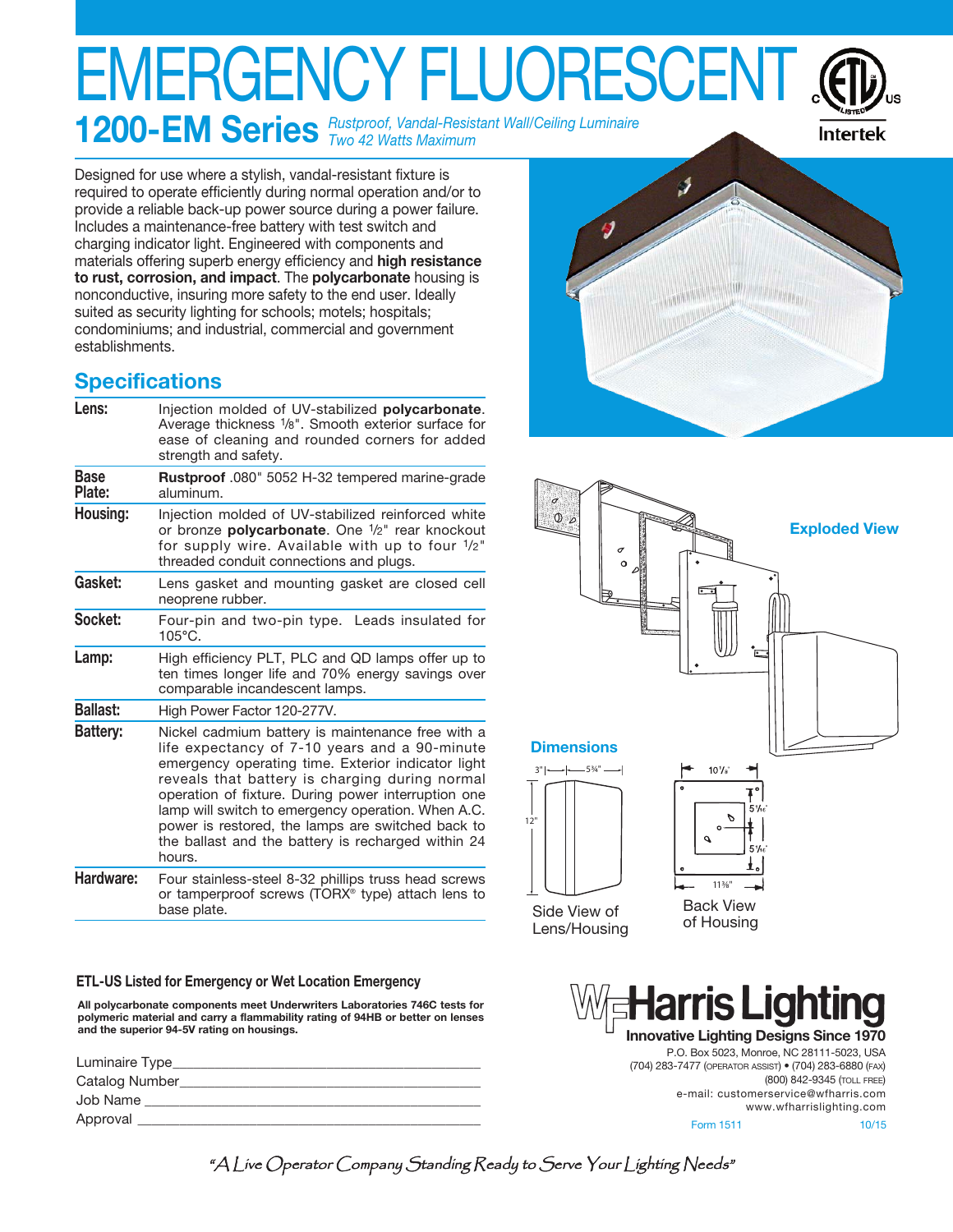# EMERGENCY FLUORESCE

**1200-EM Series** *Rustproof, Vandal-Resistant Wall/Ceiling Luminaire Two 42 Watts Maximum*



Designed for use where a stylish, vandal-resistant fixture is required to operate efficiently during normal operation and/or to provide a reliable back-up power source during a power failure. Includes a maintenance-free battery with test switch and charging indicator light. Engineered with components and materials offering superb energy efficiency and **high resistance to rust, corrosion, and impact**. The **polycarbonate** housing is nonconductive, insuring more safety to the end user. Ideally suited as security lighting for schools; motels; hospitals; condominiums; and industrial, commercial and government establishments.

# **Specifications**

| Lens:                 | Injection molded of UV-stabilized <b>polycarbonate</b> .<br>Average thickness 1/8". Smooth exterior surface for<br>ease of cleaning and rounded corners for added<br>strength and safety.                                                                                                                                                                                                                                                    |
|-----------------------|----------------------------------------------------------------------------------------------------------------------------------------------------------------------------------------------------------------------------------------------------------------------------------------------------------------------------------------------------------------------------------------------------------------------------------------------|
| <b>Base</b><br>Plate: | Rustproof .080" 5052 H-32 tempered marine-grade<br>aluminum.                                                                                                                                                                                                                                                                                                                                                                                 |
| Housing:              | Injection molded of UV-stabilized reinforced white<br>or bronze polycarbonate. One 1/2" rear knockout<br>for supply wire. Available with up to four 1/2"<br>threaded conduit connections and plugs.                                                                                                                                                                                                                                          |
| Gasket:               | Lens gasket and mounting gasket are closed cell<br>neoprene rubber.                                                                                                                                                                                                                                                                                                                                                                          |
| Socket:               | Four-pin and two-pin type. Leads insulated for<br>105°C.                                                                                                                                                                                                                                                                                                                                                                                     |
| Lamp:                 | High efficiency PLT, PLC and QD lamps offer up to<br>ten times longer life and 70% energy savings over<br>comparable incandescent lamps.                                                                                                                                                                                                                                                                                                     |
| <b>Ballast:</b>       | High Power Factor 120-277V.                                                                                                                                                                                                                                                                                                                                                                                                                  |
| <b>Battery:</b>       | Nickel cadmium battery is maintenance free with a<br>life expectancy of 7-10 years and a 90-minute<br>emergency operating time. Exterior indicator light<br>reveals that battery is charging during normal<br>operation of fixture. During power interruption one<br>lamp will switch to emergency operation. When A.C.<br>power is restored, the lamps are switched back to<br>the ballast and the battery is recharged within 24<br>hours. |
| Hardware:             | Four stainless-steel 8-32 phillips truss head screws<br>or tamperproof screws (TORX <sup>®</sup> type) attach lens to<br>base plate.                                                                                                                                                                                                                                                                                                         |

#### **ETL-US Listed for Emergency or Wet Location Emergency**

**All polycarbonate components meet Underwriters Laboratories 746C tests for polymeric material and carry a flammability rating of 94HB or better on lenses and the superior 94-5V rating on housings.**

| Luminaire Type |  |
|----------------|--|
| Catalog Number |  |
| Job Name       |  |
| Approval       |  |
|                |  |





P.O. Box 5023, Monroe, NC 28111-5023, USA (704) 283-7477 (OPERATOR ASSIST) • (704) 283-6880 (FAX) (800) 842-9345 (TOLL FREE) e-mail: customerservice@wfharris.com www.wfharrislighting.com Form 1511 10/15

"A Live Operator Company Standing Ready to Serve Your Lighting Needs"